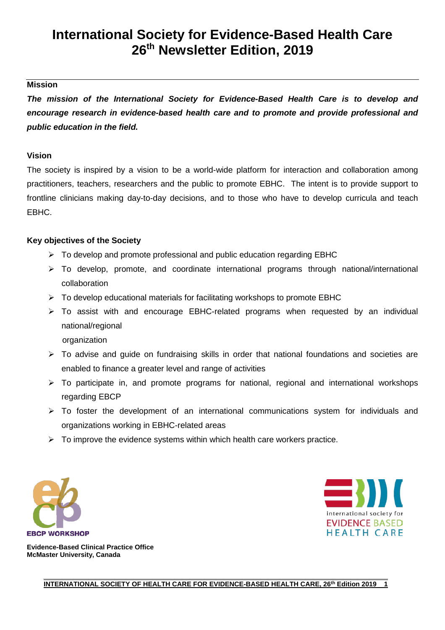# **International Society for Evidence-Based Health Care 26th Newsletter Edition, 2019**

### **Mission**

*The mission of the International Society for Evidence-Based Health Care is to develop and encourage research in evidence-based health care and to promote and provide professional and public education in the field.*

#### **Vision**

The society is inspired by a vision to be a world-wide platform for interaction and collaboration among practitioners, teachers, researchers and the public to promote EBHC. The intent is to provide support to frontline clinicians making day-to-day decisions, and to those who have to develop curricula and teach EBHC.

### **Key objectives of the Society**

- $\triangleright$  To develop and promote professional and public education regarding EBHC
- To develop, promote, and coordinate international programs through national/international collaboration
- $\triangleright$  To develop educational materials for facilitating workshops to promote EBHC
- $\triangleright$  To assist with and encourage EBHC-related programs when requested by an individual national/regional
	- organization
- $\triangleright$  To advise and guide on fundraising skills in order that national foundations and societies are enabled to finance a greater level and range of activities
- $\triangleright$  To participate in, and promote programs for national, regional and international workshops regarding EBCP
- $\triangleright$  To foster the development of an international communications system for individuals and organizations working in EBHC-related areas
- $\triangleright$  To improve the evidence systems within which health care workers practice.





**Evidence-Based Clinical Practice Office McMaster University, Canada**

> **\_\_\_\_\_\_\_\_\_\_\_\_\_\_\_\_\_\_\_\_\_\_\_\_\_\_\_\_\_\_\_\_\_\_\_\_\_\_\_\_\_\_\_\_\_\_\_\_\_\_\_\_\_\_\_\_\_\_\_\_\_\_\_\_\_\_\_\_\_\_\_\_\_\_\_\_\_\_\_\_\_\_\_\_\_\_\_\_\_\_\_\_ INTERNATIONAL SOCIETY OF HEALTH CARE FOR EVIDENCE-BASED HEALTH CARE, 26<sup>th</sup> Edition 2019 1**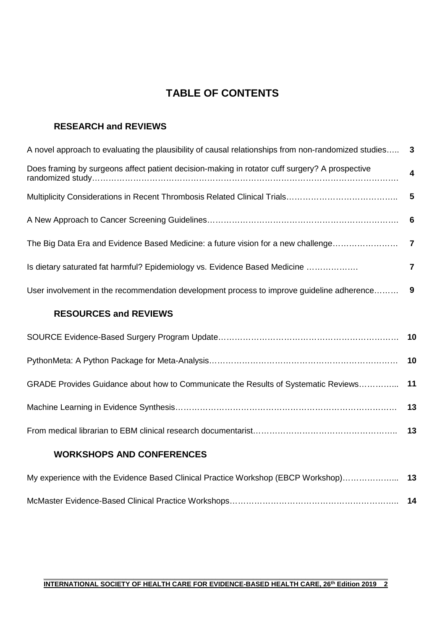# **TABLE OF CONTENTS**

### **RESEARCH and REVIEWS**

| A novel approach to evaluating the plausibility of causal relationships from non-randomized studies 3 |   |
|-------------------------------------------------------------------------------------------------------|---|
| Does framing by surgeons affect patient decision-making in rotator cuff surgery? A prospective        | 4 |
|                                                                                                       |   |
|                                                                                                       |   |
|                                                                                                       |   |
| Is dietary saturated fat harmful? Epidemiology vs. Evidence Based Medicine                            | 7 |
| User involvement in the recommendation development process to improve guideline adherence 9           |   |
| DECALIDAEC AND DEVIEWS                                                                                |   |

### **RESOURCES and REVIEWS**

| GRADE Provides Guidance about how to Communicate the Results of Systematic Reviews 11 |  |
|---------------------------------------------------------------------------------------|--|
|                                                                                       |  |
|                                                                                       |  |

# **WORKSHOPS AND CONFERENCES**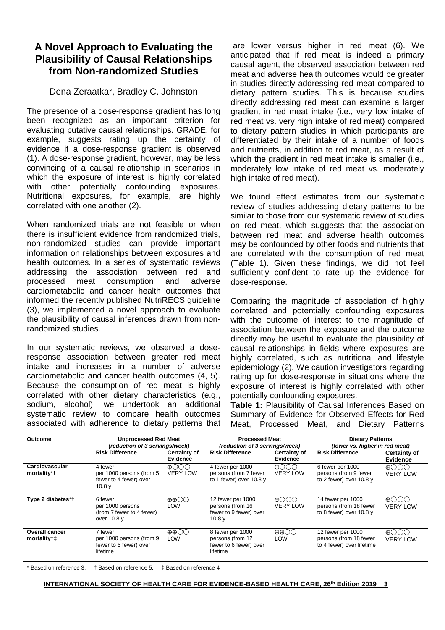# **A Novel Approach to Evaluating the Plausibility of Causal Relationships from Non-randomized Studies**

### Dena Zeraatkar, Bradley C. Johnston

The presence of a dose-response gradient has long been recognized as an important criterion for evaluating putative causal relationships. GRADE, for example, suggests rating up the certainty of evidence if a dose-response gradient is observed (1). A dose-response gradient, however, may be less convincing of a causal relationship in scenarios in which the exposure of interest is highly correlated with other potentially confounding exposures. Nutritional exposures, for example, are highly correlated with one another (2).

When randomized trials are not feasible or when there is insufficient evidence from randomized trials, non-randomized studies can provide important information on relationships between exposures and health outcomes. In a series of systematic reviews addressing the association between red and<br>processed meat consumption and adverse consumption cardiometabolic and cancer health outcomes that informed the recently published NutriRECS guideline (3), we implemented a novel approach to evaluate the plausibility of causal inferences drawn from nonrandomized studies.

In our systematic reviews, we observed a doseresponse association between greater red meat intake and increases in a number of adverse cardiometabolic and cancer health outcomes (4, 5). Because the consumption of red meat is highly correlated with other dietary characteristics (e.g., sodium, alcohol), we undertook an additional systematic review to compare health outcomes associated with adherence to dietary patterns that

are lower versus higher in red meat (6). We anticipated that if red meat is indeed a primary causal agent, the observed association between red meat and adverse health outcomes would be greater in studies directly addressing red meat compared to dietary pattern studies. This is because studies directly addressing red meat can examine a larger gradient in red meat intake (i.e., very low intake of red meat vs. very high intake of red meat) compared to dietary pattern studies in which participants are differentiated by their intake of a number of foods and nutrients, in addition to red meat, as a result of which the gradient in red meat intake is smaller (i.e., moderately low intake of red meat vs. moderately high intake of red meat).

We found effect estimates from our systematic review of studies addressing dietary patterns to be similar to those from our systematic review of studies on red meat, which suggests that the association between red meat and adverse health outcomes may be confounded by other foods and nutrients that are correlated with the consumption of red meat (Table 1). Given these findings, we did not feel sufficiently confident to rate up the evidence for dose-response.

Comparing the magnitude of association of highly correlated and potentially confounding exposures with the outcome of interest to the magnitude of association between the exposure and the outcome directly may be useful to evaluate the plausibility of causal relationships in fields where exposures are highly correlated, such as nutritional and lifestyle epidemiology (2). We caution investigators regarding rating up for dose-response in situations where the exposure of interest is highly correlated with other potentially confounding exposures.

**Table 1:** Plausibility of Causal Inferences Based on Summary of Evidence for Observed Effects for Red Meat, Processed Meat, and Dietary Patterns

| <b>Unprocessed Red Meat</b><br>Outcome<br>(reduction of 3 servings/week) |                                                                                    | <b>Processed Meat</b><br>(reduction of 3 servings/week) |                                                                                      | <b>Dietary Patterns</b><br>(lower vs. higher in red meat) |                                                                          |                                                                 |
|--------------------------------------------------------------------------|------------------------------------------------------------------------------------|---------------------------------------------------------|--------------------------------------------------------------------------------------|-----------------------------------------------------------|--------------------------------------------------------------------------|-----------------------------------------------------------------|
|                                                                          | <b>Risk Difference</b>                                                             | <b>Certainty of</b><br>Evidence                         | <b>Risk Difference</b>                                                               | <b>Certainty of</b><br>Evidence                           | <b>Risk Difference</b>                                                   | <b>Certainty of</b><br><b>Evidence</b>                          |
| Cardiovascular<br>mortality*†                                            | 4 fewer<br>per 1000 persons (from 5<br>fewer to 4 fewer) over<br>10.8 <sub>V</sub> | $\oplus$ 000<br><b>VERY LOW</b>                         | 4 fewer per 1000<br>persons (from 7 fewer<br>to 1 fewer) over 10.8 y                 | $\bigoplus$<br><b>VERY LOW</b>                            | 6 fewer per 1000<br>persons (from 9 fewer<br>to 2 fewer) over 10.8 y     | $\oplus$ OOO<br><b>VERY LOW</b>                                 |
| Type 2 diabetes*†                                                        | 6 fewer<br>per 1000 persons<br>(from 7 fewer to 4 fewer)<br>over 10.8 y            | $\oplus \oplus \bigcirc \bigcirc$<br>LOW                | 12 fewer per 1000<br>persons (from 16<br>fewer to 9 fewer) over<br>10.8 <sub>V</sub> | $\bigoplus$<br><b>VERY LOW</b>                            | 14 fewer per 1000<br>persons (from 18 fewer<br>to 8 fewer) over 10.8 y   | $\bigoplus$ $\bigcirc$ $\bigcirc$ $\bigcirc$<br><b>VERY LOW</b> |
| <b>Overall cancer</b><br>mortality $\uparrow\downarrow$                  | 7 fewer<br>per 1000 persons (from 9<br>fewer to 6 fewer) over<br>lifetime          | ⊕⊕○○<br>LOW                                             | 8 fewer per 1000<br>persons (from 12<br>fewer to 6 fewer) over<br>lifetime           | ⊕⊕○○<br>LOW                                               | 12 fewer per 1000<br>persons (from 18 fewer<br>to 4 fewer) over lifetime | $\bigoplus$ ( ) ( ) ( )<br><b>VERY LOW</b>                      |

\* Based on reference 3. † Based on reference 5. ‡ Based on reference 4

**\_\_\_\_\_\_\_\_\_\_\_\_\_\_\_\_\_\_\_\_\_\_\_\_\_\_\_\_\_\_\_\_\_\_\_\_\_\_\_\_\_\_\_\_\_\_\_\_\_\_\_\_\_\_\_\_\_\_\_\_\_\_\_\_\_\_\_\_\_\_\_\_\_\_\_\_\_\_\_\_\_\_\_\_\_\_\_\_\_\_\_\_ INTERNATIONAL SOCIETY OF HEALTH CARE FOR EVIDENCE-BASED HEALTH CARE, 26<sup>th</sup> Edition 2019 3**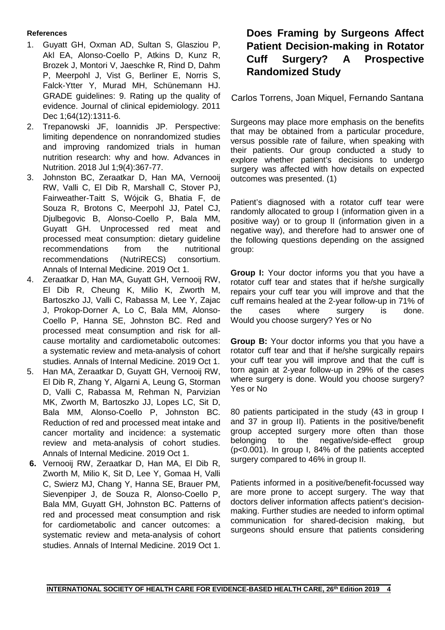#### **References**

- 1. Guyatt GH, Oxman AD, Sultan S, Glasziou P, Akl EA, Alonso-Coello P, Atkins D, Kunz R, Brozek J, Montori V, Jaeschke R, Rind D, Dahm P, Meerpohl J, Vist G, Berliner E, Norris S, Falck-Ytter Y, Murad MH, Schünemann HJ. GRADE guidelines: 9. Rating up the quality of evidence. Journal of clinical epidemiology. 2011 Dec 1;64(12):1311-6.
- 2. Trepanowski JF, Ioannidis JP. Perspective: limiting dependence on nonrandomized studies and improving randomized trials in human nutrition research: why and how. Advances in Nutrition. 2018 Jul 1;9(4):367-77.
- 3. Johnston BC, Zeraatkar D, Han MA, Vernooij RW, Valli C, El Dib R, Marshall C, Stover PJ, Fairweather-Taitt S, Wójcik G, Bhatia F, de Souza R, Brotons C, Meerpohl JJ, Patel CJ, Djulbegovic B, Alonso-Coello P, Bala MM, Guyatt GH. Unprocessed red meat and processed meat consumption: dietary guideline recommendations from the nutritional recommendations (NutriRECS) consortium. Annals of Internal Medicine. 2019 Oct 1.
- 4. Zeraatkar D, Han MA, Guyatt GH, Vernooij RW, El Dib R, Cheung K, Milio K, Zworth M, Bartoszko JJ, Valli C, Rabassa M, Lee Y, Zajac J, Prokop-Dorner A, Lo C, Bala MM, Alonso-Coello P, Hanna SE, Johnston BC. Red and processed meat consumption and risk for allcause mortality and cardiometabolic outcomes: a systematic review and meta-analysis of cohort studies. Annals of Internal Medicine. 2019 Oct 1.
- 5. Han MA, Zeraatkar D, Guyatt GH, Vernooij RW, El Dib R, Zhang Y, Algarni A, Leung G, Storman D, Valli C, Rabassa M, Rehman N, Parvizian MK, Zworth M, Bartoszko JJ, Lopes LC, Sit D, Bala MM, Alonso-Coello P, Johnston BC. Reduction of red and processed meat intake and cancer mortality and incidence: a systematic review and meta-analysis of cohort studies. Annals of Internal Medicine. 2019 Oct 1.
- **6.** Vernooij RW, Zeraatkar D, Han MA, El Dib R, Zworth M, Milio K, Sit D, Lee Y, Gomaa H, Valli C, Swierz MJ, Chang Y, Hanna SE, Brauer PM, Sievenpiper J, de Souza R, Alonso-Coello P, Bala MM, Guyatt GH, Johnston BC. Patterns of red and processed meat consumption and risk for cardiometabolic and cancer outcomes: a systematic review and meta-analysis of cohort studies. Annals of Internal Medicine. 2019 Oct 1.

# **Does Framing by Surgeons Affect Patient Decision-making in Rotator Cuff Surgery? A Prospective Randomized Study**

Carlos Torrens, Joan Miquel, Fernando Santana

Surgeons may place more emphasis on the benefits that may be obtained from a particular procedure, versus possible rate of failure, when speaking with their patients. Our group conducted a study to explore whether patient's decisions to undergo surgery was affected with how details on expected outcomes was presented. (1)

Patient's diagnosed with a rotator cuff tear were randomly allocated to group I (information given in a positive way) or to group II (information given in a negative way), and therefore had to answer one of the following questions depending on the assigned group:

**Group I:** Your doctor informs you that you have a rotator cuff tear and states that if he/she surgically repairs your cuff tear you will improve and that the cuff remains healed at the 2-year follow-up in 71% of the cases where surgery is done. Would you choose surgery? Yes or No

**Group B:** Your doctor informs you that you have a rotator cuff tear and that if he/she surgically repairs your cuff tear you will improve and that the cuff is torn again at 2-year follow-up in 29% of the cases where surgery is done. Would you choose surgery? Yes or No

80 patients participated in the study (43 in group I and 37 in group II). Patients in the positive/benefit group accepted surgery more often than those belonging to the negative/side-effect group (p<0.001). In group I, 84% of the patients accepted surgery compared to 46% in group II.

Patients informed in a positive/benefit-focussed way are more prone to accept surgery. The way that doctors deliver information affects patient's decisionmaking. Further studies are needed to inform optimal communication for shared-decision making, but surgeons should ensure that patients considering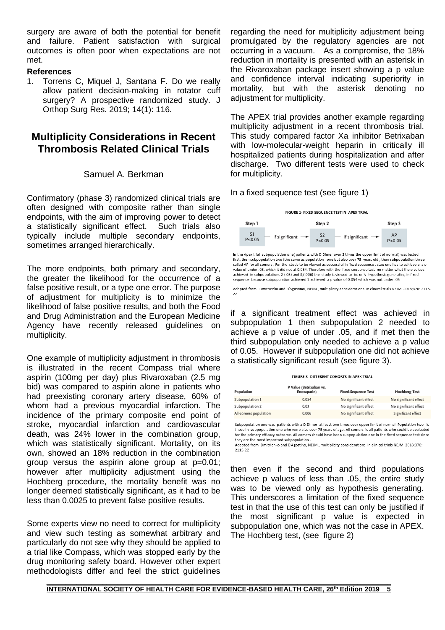surgery are aware of both the potential for benefit and failure. Patient satisfaction with surgical outcomes is often poor when expectations are not met.

#### **References**

1. Torrens C, Miquel J, Santana F. [Do we really](https://www.ncbi.nlm.nih.gov/pubmed/31036041)  [allow patient decision-making in rotator cuff](https://www.ncbi.nlm.nih.gov/pubmed/31036041)  [surgery? A prospective randomized study.](https://www.ncbi.nlm.nih.gov/pubmed/31036041) J Orthop Surg Res. 2019; 14(1): 116.

# **Multiplicity Considerations in Recent Thrombosis Related Clinical Trials**

#### Samuel A. Berkman

Confirmatory (phase 3) randomized clinical trials are often designed with composite rather than single endpoints, with the aim of improving power to detect a statistically significant effect. Such trials also typically include multiple secondary endpoints, sometimes arranged hierarchically.

The more endpoints, both primary and secondary, the greater the likelihood for the occurrence of a false positive result, or a type one error. The purpose of adjustment for multiplicity is to minimize the likelihood of false positive results, and both the Food and Drug Administration and the European Medicine Agency have recently released guidelines on multiplicity.

One example of multiplicity adjustment in thrombosis is illustrated in the recent Compass trial where aspirin (100mg per day) plus Rivaroxaban (2.5 mg bid) was compared to aspirin alone in patients who had preexisting coronary artery disease, 60% of whom had a previous myocardial infarction. The incidence of the primary composite end point of stroke, myocardial infarction and cardiovascular death, was 24% lower in the combination group, which was statistically significant. Mortality, on its own, showed an 18% reduction in the combination group versus the aspirin alone group at p=0.01; however after multiplicity adjustment using the Hochberg procedure, the mortality benefit was no longer deemed statistically significant, as it had to be less than 0.0025 to prevent false positive results.

Some experts view no need to correct for multiplicity and view such testing as somewhat arbitrary and particularly do not see why they should be applied to a trial like Compass, which was stopped early by the drug monitoring safety board. However other expert methodologists differ and feel the strict guidelines

regarding the need for multiplicity adjustment being promulgated by the regulatory agencies are not occurring in a vacuum. As a compromise, the 18% reduction in mortality is presented with an asterisk in the Rivaroxaban package insert showing a p value and confidence interval indicating superiority in mortality, but with the asterisk denoting no adjustment for multiplicity.

The APEX trial provides another example regarding multiplicity adjustment in a recent thrombosis trial. This study compared factor Xa inhibitor Betrixaban with low-molecular-weight heparin in critically ill hospitalized patients during hospitalization and after discharge. Two different tests were used to check for multiplicity.

#### In a fixed sequence test (see figure 1)



called AP for all comers . For the study to be viewed as successful in fixed sequence, step one has to achieve a value of under .05, which it did not at 0.054. Therefore with the fixed sequence test no matter what the p values achieved in subpopulations 2 (.03) and 3,(.006) the study is viewed to be only hypothesis generating in fixed sequence because subpopulation achieved 1 achieved a p value of 0.054 which was not under .05

Adapted from Dmitrienko and D'Agostinoi, NEJM, multiplicity considerations in clinical trials NEJM 2018:378: 2115-

if a significant treatment effect was achieved in subpopulation 1 then subpopulation 2 needed to achieve a p value of under .05, and if met then the third subpopulation only needed to achieve a p value of 0.05. However if subpopulation one did not achieve a statistically significant result (see figure 3).

| Population            | P Value (Betrixaban vs.<br>Enoxaparin) | <b>Fixed-Sequence Test</b> | <b>Hochberg Test</b>  |
|-----------------------|----------------------------------------|----------------------------|-----------------------|
| Subpopulation 1       | 0.054                                  | No significant effect      | No significant effect |
| Subpopulation 2       | 0.03                                   | No significant effect      | No significant effect |
| All-comers population | 0.006                                  | No significant effect      | Significant effect    |

Subpopulation one was patients with a D Dimer at least two times over upper limit of normal. Population two is those in subpopulation one who were also over 75 years of age. All comers is all patients who could be evaluated<br>for the primary efficacy outcome. All comers should have been subpopulation one in the fixed sequence test si they are the most important subpopulation

Adapted from Dmitrienko and D'Agostino, NEJM , multiplicity considerations in clinical trials NEJM 2018;378: 2115-22

then even if the second and third populations achieve p values of less than .05, the entire study was to be viewed only as hypothesis generating. This underscores a limitation of the fixed sequence test in that the use of this test can only be justified if the most significant p value is expected in subpopulation one, which was not the case in APEX. The Hochberg test**,** (see figure 2)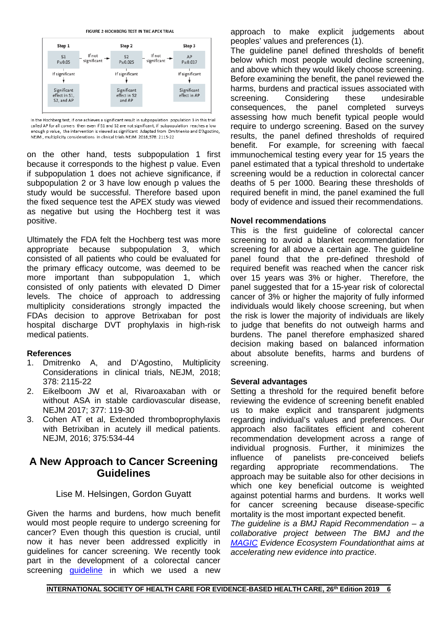FIGURE 2-HOCHBERG TEST IN THE APEX TRIAL



In the Hochberg test, if one achieves a significant result in subpopulation population 3 in this trial called AP for all comers then even if S1 and S2 are not significant, if subpopulation reaches a low enough p value, the intervention is viewed as significant Adapted from Dmitrienko and D'Agostino, NEJM, multiplicity considerations in clinical trials NEJM 2018;378: 2115-22

on the other hand, tests subpopulation 1 first because it corresponds to the highest p value. Even if subpopulation 1 does not achieve significance, if subpopulation 2 or 3 have low enough p values the study would be successful. Therefore based upon the fixed sequence test the APEX study was viewed as negative but using the Hochberg test it was positive.

Ultimately the FDA felt the Hochberg test was more appropriate because subpopulation 3, which consisted of all patients who could be evaluated for the primary efficacy outcome, was deemed to be more important than subpopulation 1, which consisted of only patients with elevated D Dimer levels. The choice of approach to addressing multiplicity considerations strongly impacted the FDAs decision to approve Betrixaban for post hospital discharge DVT prophylaxis in high-risk medical patients.

#### **References**

- 1. Dmitrenko A, and D'Agostino, Multiplicity Considerations in clinical trials, NEJM, 2018; 378: 2115-22
- 2. Eikelboom JW et al, Rivaroaxaban with or without ASA in stable cardiovascular disease, NEJM 2017; 377: 119-30
- 3. Cohen AT et al, Extended thromboprophylaxis with Betrixiban in acutely ill medical patients. NEJM, 2016; 375:534-44

## **A New Approach to Cancer Screening Guidelines**

#### Lise M. Helsingen, Gordon Guyatt

Given the harms and burdens, how much benefit would most people require to undergo screening for cancer? Even though this question is crucial, until now it has never been addressed explicitly in guidelines for cancer screening. We recently took part in the development of a colorectal cancer screening *[guideline](https://www.bmj.com/content/367/bmj.l5515)* in which we used a new

approach to make explicit judgements about peoples' values and preferences (1).

The guideline panel defined thresholds of benefit below which most people would decline screening, and above which they would likely choose screening. Before examining the benefit, the panel reviewed the harms, burdens and practical issues associated with screening. Considering these undesirable consequences, the panel completed surveys assessing how much benefit typical people would require to undergo screening. Based on the survey results, the panel defined thresholds of required benefit. For example, for screening with faecal immunochemical testing every year for 15 years the panel estimated that a typical threshold to undertake screening would be a reduction in colorectal cancer deaths of 5 per 1000. Bearing these thresholds of required benefit in mind, the panel examined the full body of evidence and issued their recommendations.

#### **Novel recommendations**

This is the first guideline of colorectal cancer screening to avoid a blanket recommendation for screening for all above a certain age. The guideline panel found that the pre-defined threshold of required benefit was reached when the cancer risk over 15 years was 3% or higher. Therefore, the panel suggested that for a 15-year risk of colorectal cancer of 3% or higher the majority of fully informed individuals would likely choose screening, but when the risk is lower the majority of individuals are likely to judge that benefits do not outweigh harms and burdens. The panel therefore emphasized shared decision making based on balanced information about absolute benefits, harms and burdens of screening.

#### **Several advantages**

Setting a threshold for the required benefit before reviewing the evidence of screening benefit enabled us to make explicit and transparent judgments regarding individual's values and preferences. Our approach also facilitates efficient and coherent recommendation development across a range of individual prognosis. Further, it minimizes the influence of panelists pre-conceived beliefs regarding appropriate recommendations. The approach may be suitable also for other decisions in which one key beneficial outcome is weighted against potential harms and burdens. It works well for cancer screening because disease-specific mortality is the most important expected benefit.

*The guideline is a BMJ Rapid Recommendation – a collaborative project between The BMJ and [the](http://magicproject.org/)  [MAGIC](http://magicproject.org/) Evidence Ecosystem Foundationthat aims at accelerating new evidence into practice*.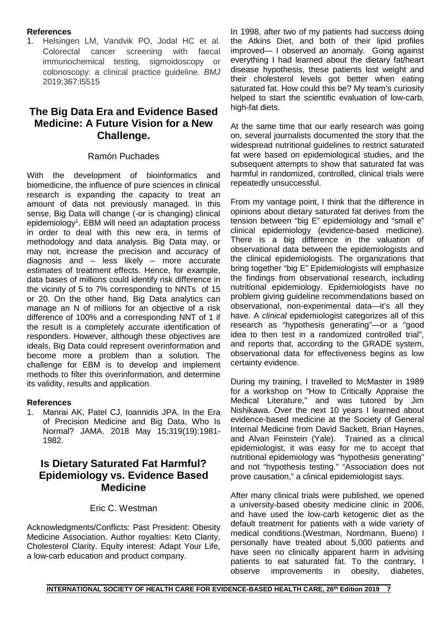### **References**

1. Helsingen LM, Vandvik PO, Jodal HC et al. Colorectal cancer screening with faecal immunochemical testing, sigmoidoscopy or colonoscopy: a clinical practice guideline. *BMJ* 2019;367:l5515

# **The Big Data Era and Evidence Based Medicine: A Future Vision for a New Challenge.**

### Ramón Puchades

With the development of bioinformatics and biomedicine, the influence of pure sciences in clinical research is expanding the capacity to treat an amount of data not previously managed. In this sense, Big Data will change (-or is changing) clinical epidemiology<sup>1</sup>. EBM will need an adaptation process in order to deal with this new era, in terms of methodology and data analysis. Big Data may, or may not, increase the precision and accuracy of diagnosis and – less likely – more accurate estimates of treatment effects. Hence, for example, data bases of millions could identify risk difference in the vicinity of 5 to 7% corresponding to NNTs of 15 or 20. On the other hand, Big Data analytics can manage an N of millions for an objective of a risk difference of 100% and a corresponding NNT of 1 if the result is a completely accurate identification of responders. However, although these objectives are ideals, Big Data could represent overinformation and become more a problem than a solution. The challenge for EBM is to develop and implement methods to filter this overinformation, and determine its validity, results and application.

#### **References**

1. Manrai AK, Patel CJ, Ioannidis JPA. In the Era of Precision Medicine and Big Data, Who Is Normal? JAMA. 2018 May 15;319(19):1981- 1982.

# **Is Dietary Saturated Fat Harmful? Epidemiology vs. Evidence Based Medicine**

### Eric C. Westman

Acknowledgments/Conflicts: Past President: Obesity Medicine Association. Author royalties: Keto Clarity, Cholesterol Clarity. Equity interest: Adapt Your Life, a low-carb education and product company.

In 1998, after two of my patients had success doing the Atkins Diet, and both of their lipid profiles improved— I observed an anomaly. Going against everything I had learned about the dietary fat/heart disease hypothesis, these patients lost weight and their cholesterol levels got better when eating saturated fat. How could this be? My team's curiosity helped to start the scientific evaluation of low-carb, high-fat diets.

At the same time that our early research was going on, several journalists documented the story that the widespread nutritional guidelines to restrict saturated fat were based on epidemiological studies, and the subsequent attempts to show that saturated fat was harmful in randomized, controlled, clinical trials were repeatedly unsuccessful.

From my vantage point, I think that the difference in opinions about dietary saturated fat derives from the tension between "big E" epidemiology and "small e" clinical epidemiology (evidence-based medicine). There is a big difference in the valuation of observational data between the epidemiologists and the clinical epidemiologists. The organizations that bring together "big E" Epidemiologists will emphasize the findings from observational research, including nutritional epidemiology. Epidemiologists have no problem giving guideline recommendations based on observational, non-experimental data—it's all they have. A *clinical* epidemiologist categorizes all of this research as "hypothesis generating"—or a "good idea to then test in a randomized controlled trial", and reports that, according to the GRADE system, observational data for effectiveness begins as low certainty evidence.

During my training, I travelled to McMaster in 1989 for a workshop on "How to Critically Appraise the Medical Literature," and was tutored by Jim Nishikawa. Over the next 10 years I learned about evidence-based medicine at the Society of General Internal Medicine from David Sackett, Brian Haynes, and Alvan Feinstein (Yale). Trained as a clinical epidemiologist, it was easy for me to accept that nutritional epidemiology was "hypothesis generating" and not "hypothesis testing." "Association does not prove causation," a clinical epidemiologist says.

After many clinical trials were published, we opened a university-based obesity medicine clinic in 2006, and have used the low-carb ketogenic diet as the default treatment for patients with a wide variety of medical conditions.(Westman, Nordmann, Bueno) I personally have treated about 5,000 patients and have seen no clinically apparent harm in advising patients to eat saturated fat. To the contrary, I observe improvements in obesity, diabetes,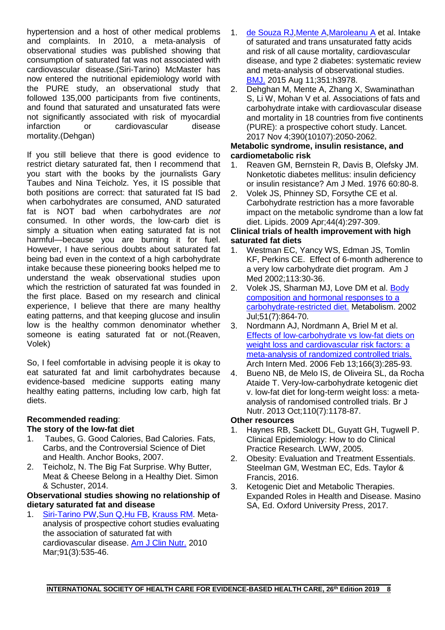hypertension and a host of other medical problems and complaints. In 2010, a meta-analysis of observational studies was published showing that consumption of saturated fat was not associated with cardiovascular disease.(Siri-Tarino) McMaster has now entered the nutritional epidemiology world with the PURE study, an observational study that followed 135,000 participants from five continents, and found that saturated and unsaturated fats were not significantly associated with risk of myocardial<br>infarction or cardiovascular disease or cardiovascular mortality.(Dehgan)

If you still believe that there is good evidence to restrict dietary saturated fat, then I recommend that you start with the books by the journalists Gary Taubes and Nina Teicholz. Yes, it IS possible that both positions are correct: that saturated fat IS bad when carbohydrates are consumed, AND saturated fat is NOT bad when carbohydrates are *not* consumed. In other words, the low-carb diet is simply a situation when eating saturated fat is not harmful—because you are burning it for fuel. However, I have serious doubts about saturated fat being bad even in the context of a high carbohydrate intake because these pioneering books helped me to understand the weak observational studies upon which the restriction of saturated fat was founded in the first place. Based on my research and clinical experience, I believe that there are many healthy eating patterns, and that keeping glucose and insulin low is the healthy common denominator whether someone is eating saturated fat or not.(Reaven, Volek)

So, I feel comfortable in advising people it is okay to eat saturated fat and limit carbohydrates because evidence-based medicine supports eating many healthy eating patterns, including low carb, high fat diets.

#### **Recommended reading**: **The story of the low-fat diet**

- 1. Taubes, G. Good Calories, Bad Calories. Fats, Carbs, and the Controversial Science of Diet and Health. Anchor Books, 2007.
- 2. Teicholz, N. The Big Fat Surprise. Why Butter, Meat & Cheese Belong in a Healthy Diet. Simon & Schuster, 2014.

### **Observational studies showing no relationship of dietary saturated fat and disease**

1. [Siri-Tarino PW](https://www.ncbi.nlm.nih.gov/pubmed/?term=Siri-Tarino%20PW%5BAuthor%5D&cauthor=true&cauthor_uid=20071648), Sun Q, Hu FB, [Krauss RM.](https://www.ncbi.nlm.nih.gov/pubmed/?term=Krauss%20RM%5BAuthor%5D&cauthor=true&cauthor_uid=20071648) Metaanalysis of prospective cohort studies evaluating the association of saturated fat with cardiovascular disease. [Am J Clin Nutr.](https://www.ncbi.nlm.nih.gov/pubmed/20071648) 2010 Mar;91(3):535-46.

- 1. [de Souza RJ](https://www.ncbi.nlm.nih.gov/pubmed/?term=de%20Souza%20RJ%5BAuthor%5D&cauthor=true&cauthor_uid=26268692)[,Mente A,](https://www.ncbi.nlm.nih.gov/pubmed/?term=Mente%20A%5BAuthor%5D&cauthor=true&cauthor_uid=26268692)[Maroleanu A](https://www.ncbi.nlm.nih.gov/pubmed/?term=Maroleanu%20A%5BAuthor%5D&cauthor=true&cauthor_uid=26268692) et al. Intake of saturated and trans unsaturated fatty acids and risk of all cause mortality, cardiovascular disease, and type 2 diabetes: systematic review and meta-analysis of observational studies. [BMJ.](https://www.ncbi.nlm.nih.gov/pubmed/26268692) 2015 Aug 11;351:h3978.
- 2. Dehghan M, Mente A, Zhang X, Swaminathan S, Li W, Mohan V et al. Associations of fats and carbohydrate intake with cardiovascular disease and mortality in 18 countries from five continents (PURE): a prospective cohort study. Lancet. 2017 Nov 4;390(10107):2050-2062.

# **Metabolic syndrome, insulin resistance, and cardiometabolic risk**

- 1. [Reaven GM,](https://www.ncbi.nlm.nih.gov/pubmed/?term=Reaven%20GM%5BAuthor%5D&cauthor=true&cauthor_uid=6337484) Bernstein R, Davis B, Olefsky JM. Nonketotic diabetes mellitus: insulin deficiency or insulin resistance? [Am J Med.](https://www.ncbi.nlm.nih.gov/pubmed/6337484) 1976 60:80-8.
- 2. [Volek JS,](https://www.ncbi.nlm.nih.gov/pubmed/?term=Volek%20JS%5BAuthor%5D&cauthor=true&cauthor_uid=19082851) [Phinney SD,](https://www.ncbi.nlm.nih.gov/pubmed/?term=Phinney%20SD%5BAuthor%5D&cauthor=true&cauthor_uid=19082851) [Forsythe CE](https://www.ncbi.nlm.nih.gov/pubmed/?term=Forsythe%20CE%5BAuthor%5D&cauthor=true&cauthor_uid=19082851) et al. Carbohydrate restriction has a more favorable impact on the metabolic syndrome than a low fat diet. [Lipids.](https://www.ncbi.nlm.nih.gov/pubmed/?term=Volek+JS.+Lipids+2009%3B44%3A297-309.) 2009 Apr;44(4):297-309.

### **Clinical trials of health improvement with high saturated fat diets**

- 1. Westman EC, Yancy WS, Edman JS, Tomlin KF, Perkins CE. Effect of 6-month adherence to a very low carbohydrate diet program. Am J Med 2002;113:30-36.
- 2. Volek JS, Sharman MJ, Love DM et al. Body [composition and hormonal responses to a](https://www.ncbi.nlm.nih.gov/pubmed/12077732)  [carbohydrate-restricted diet.](https://www.ncbi.nlm.nih.gov/pubmed/12077732) Metabolism. 2002 Jul;51(7):864-70.
- 3. Nordmann AJ, Nordmann A, Briel M et al. [Effects of low-carbohydrate](https://www.ncbi.nlm.nih.gov/pubmed/16476868) vs low-fat diets on weight loss and cardiovascular risk factors: a [meta-analysis of randomized controlled trials.](https://www.ncbi.nlm.nih.gov/pubmed/16476868) Arch Intern Med. 2006 Feb 13;166(3):285-93.
- 4. [Bueno NB,](https://www.ncbi.nlm.nih.gov/pubmed/?term=Bueno%20NB%5BAuthor%5D&cauthor=true&cauthor_uid=23651522) [de Melo IS,](https://www.ncbi.nlm.nih.gov/pubmed/?term=de%20Melo%20IS%5BAuthor%5D&cauthor=true&cauthor_uid=23651522) [de Oliveira SL,](https://www.ncbi.nlm.nih.gov/pubmed/?term=de%20Oliveira%20SL%5BAuthor%5D&cauthor=true&cauthor_uid=23651522) [da Rocha](https://www.ncbi.nlm.nih.gov/pubmed/?term=da%20Rocha%20Ataide%20T%5BAuthor%5D&cauthor=true&cauthor_uid=23651522)  [Ataide T.](https://www.ncbi.nlm.nih.gov/pubmed/?term=da%20Rocha%20Ataide%20T%5BAuthor%5D&cauthor=true&cauthor_uid=23651522) Very-low-carbohydrate ketogenic diet v. low-fat diet for long-term weight loss: a metaanalysis of randomised controlled trials. [Br J](https://www.ncbi.nlm.nih.gov/pubmed/23651522)  [Nutr.](https://www.ncbi.nlm.nih.gov/pubmed/23651522) 2013 Oct;110(7):1178-87.

# **Other resources**

- 1. Haynes RB, Sackett DL, Guyatt GH, Tugwell P. Clinical Epidemiology: How to do Clinical Practice Research. LWW, 2005.
- 2. Obesity: Evaluation and Treatment Essentials. Steelman GM, Westman EC, Eds. Taylor & Francis, 2016.
- 3. Ketogenic Diet and Metabolic Therapies. Expanded Roles in Health and Disease. Masino SA, Ed. Oxford University Press, 2017.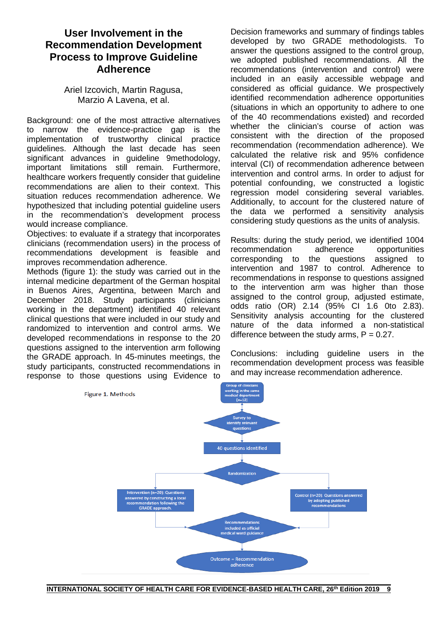# **User Involvement in the Recommendation Development Process to Improve Guideline Adherence**

Ariel Izcovich, Martin Ragusa, Marzio A Lavena, et al.

Background: one of the most attractive alternatives to narrow the evidence-practice gap is the implementation of trustworthy clinical practice guidelines. Although the last decade has seen significant advances in guideline 9methodology, important limitations still remain. Furthermore, healthcare workers frequently consider that guideline recommendations are alien to their context. This situation reduces recommendation adherence. We hypothesized that including potential guideline users in the recommendation's development process would increase compliance.

Objectives: to evaluate if a strategy that incorporates clinicians (recommendation users) in the process of recommendations development is feasible and improves recommendation adherence.

Methods (figure 1): the study was carried out in the internal medicine department of the German hospital in Buenos Aires, Argentina, between March and December 2018. Study participants (clinicians working in the department) identified 40 relevant clinical questions that were included in our study and randomized to intervention and control arms. We developed recommendations in response to the 20 questions assigned to the intervention arm following the GRADE approach. In 45-minutes meetings, the study participants, constructed recommendations in response to those questions using Evidence to

Decision frameworks and summary of findings tables developed by two GRADE methodologists. To answer the questions assigned to the control group, we adopted published recommendations. All the recommendations (intervention and control) were included in an easily accessible webpage and considered as official guidance. We prospectively identified recommendation adherence opportunities (situations in which an opportunity to adhere to one of the 40 recommendations existed) and recorded whether the clinician's course of action was consistent with the direction of the proposed recommendation (recommendation adherence). We calculated the relative risk and 95% confidence interval (CI) of recommendation adherence between intervention and control arms. In order to adjust for potential confounding, we constructed a logistic regression model considering several variables. Additionally, to account for the clustered nature of the data we performed a sensitivity analysis considering study questions as the units of analysis.

Results: during the study period, we identified 1004 recommendation adherence opportunities corresponding to the questions assigned to intervention and 1987 to control. Adherence to recommendations in response to questions assigned to the intervention arm was higher than those assigned to the control group, adjusted estimate, odds ratio (OR) 2.14 (95% CI 1.6 0to 2.83). Sensitivity analysis accounting for the clustered nature of the data informed a non-statistical difference between the study arms,  $P = 0.27$ .

Conclusions: including guideline users in the recommendation development process was feasible and may increase recommendation adherence.

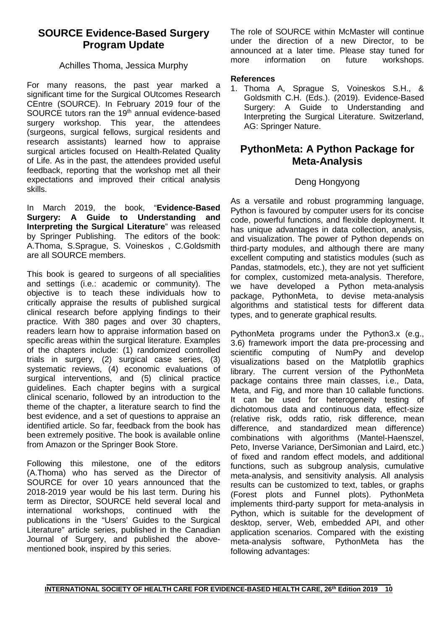# **SOURCE Evidence-Based Surgery Program Update**

### Achilles Thoma, Jessica Murphy

For many reasons, the past year marked a significant time for the Surgical OUtcomes Research CEntre (SOURCE). In February 2019 four of the SOURCE tutors ran the 19<sup>th</sup> annual evidence-based surgery workshop. This year, the attendees (surgeons, surgical fellows, surgical residents and research assistants) learned how to appraise surgical articles focused on Health-Related Quality of Life. As in the past, the attendees provided useful feedback, reporting that the workshop met all their expectations and improved their critical analysis skills.

In March 2019, the book, "**Evidence-Based Surgery: A Guide to Understanding and Interpreting the Surgical Literature**" was released by Springer Publishing. The editors of the book: A.Thoma, S.Sprague, S. Voineskos , C.Goldsmith are all SOURCE members.

This book is geared to surgeons of all specialities and settings (i.e.: academic or community). The objective is to teach these individuals how to critically appraise the results of published surgical clinical research before applying findings to their practice. With 380 pages and over 30 chapters, readers learn how to appraise information based on specific areas within the surgical literature. Examples of the chapters include: (1) randomized controlled trials in surgery, (2) surgical case series, (3) systematic reviews, (4) economic evaluations of surgical interventions, and (5) clinical practice guidelines. Each chapter begins with a surgical clinical scenario, followed by an introduction to the theme of the chapter, a literature search to find the best evidence, and a set of questions to appraise an identified article. So far, feedback from the book has been extremely positive. The book is available online from Amazon or the Springer Book Store.

Following this milestone, one of the editors (A.Thoma) who has served as the Director of SOURCE for over 10 years announced that the 2018-2019 year would be his last term. During his term as Director, SOURCE held several local and international workshops, continued with the publications in the "Users' Guides to the Surgical Literature" article series, published in the Canadian Journal of Surgery, and published the abovementioned book, inspired by this series.

The role of SOURCE within McMaster will continue under the direction of a new Director, to be announced at a later time. Please stay tuned for more information on future workshops.

#### **References**

1. Thoma A, Sprague S, Voineskos S.H., & Goldsmith C.H. (Eds.). (2019). Evidence-Based Surgery: A Guide to Understanding and Interpreting the Surgical Literature. Switzerland, AG: Springer Nature.

# **PythonMeta: A Python Package for Meta-Analysis**

### Deng Hongyong

As a versatile and robust programming language, Python is favoured by computer users for its concise code, powerful functions, and flexible deployment. It has unique advantages in data collection, analysis, and visualization. The power of Python depends on third-party modules, and although there are many excellent computing and statistics modules (such as Pandas, statmodels, etc.), they are not yet sufficient for complex, customized meta-analysis. Therefore, we have developed a Python meta-analysis package, PythonMeta, to devise meta-analysis algorithms and statistical tests for different data types, and to generate graphical results.

PythonMeta programs under the Python3.x (e.g., 3.6) framework import the data pre-processing and scientific computing of NumPy and develop visualizations based on the Matplotlib graphics library. The current version of the PythonMeta package contains three main classes, i.e., Data, Meta, and Fig, and more than 10 callable functions. It can be used for heterogeneity testing of dichotomous data and continuous data, effect-size (relative risk, odds ratio, risk difference, mean difference, and standardized mean difference) combinations with algorithms (Mantel-Haenszel, Peto, Inverse Variance, DerSimonian and Laird, etc.) of fixed and random effect models, and additional functions, such as subgroup analysis, cumulative meta-analysis, and sensitivity analysis. All analysis results can be customized to text, tables, or graphs (Forest plots and Funnel plots). PythonMeta implements third-party support for meta-analysis in Python, which is suitable for the development of desktop, server, Web, embedded API, and other application scenarios. Compared with the existing meta-analysis software, PythonMeta has the following advantages: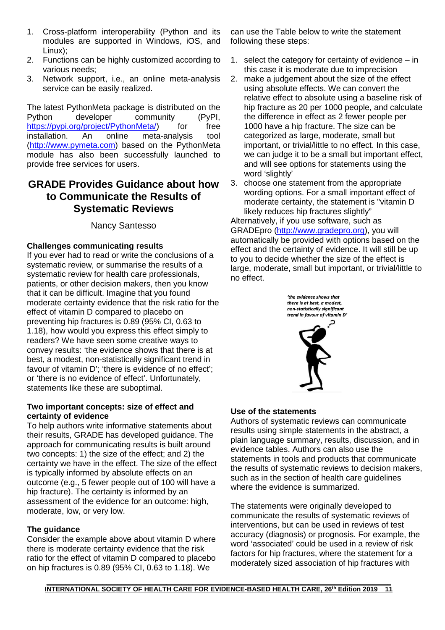- 1. Cross-platform interoperability (Python and its modules are supported in Windows, iOS, and Linux);
- 2. Functions can be highly customized according to various needs;
- 3. Network support, i.e., an online meta-analysis service can be easily realized.

The latest PythonMeta package is distributed on the<br>Python developer community (PyPI, community (PyPI,<br>
<u>Neta</u><sup>)</sup> for free [https://pypi.org/project/PythonMeta/\)](https://pypi.org/project/PythonMeta/) for free<br>installation. An online meta-analysis tool meta-analysis [\(http://www.pymeta.com\)](http://www.pymeta.com/) based on the PythonMeta module has also been successfully launched to provide free services for users.

# **GRADE Provides Guidance about how to Communicate the Results of Systematic Reviews**

### Nancy Santesso

### **Challenges communicating results**

If you ever had to read or write the conclusions of a systematic review, or summarise the results of a systematic review for health care professionals, patients, or other decision makers, then you know that it can be difficult. Imagine that you found moderate certainty evidence that the risk ratio for the effect of vitamin D compared to placebo on preventing hip fractures is 0.89 (95% CI, 0.63 to 1.18), how would you express this effect simply to readers? We have seen some creative ways to convey results: 'the evidence shows that there is at best, a modest, non-statistically significant trend in favour of vitamin D'; 'there is evidence of no effect'; or 'there is no evidence of effect'. Unfortunately, statements like these are suboptimal.

#### **Two important concepts: size of effect and certainty of evidence**

To help authors write informative statements about their results, GRADE has developed guidance. The approach for communicating results is built around two concepts: 1) the size of the effect; and 2) the certainty we have in the effect. The size of the effect is typically informed by absolute effects on an outcome (e.g., 5 fewer people out of 100 will have a hip fracture). The certainty is informed by an assessment of the evidence for an outcome: high, moderate, low, or very low.

#### **The guidance**

Consider the example above about vitamin D where there is moderate certainty evidence that the risk ratio for the effect of vitamin D compared to placebo on hip fractures is 0.89 (95% CI, 0.63 to 1.18). We

can use the Table below to write the statement following these steps:

- 1. select the category for certainty of evidence in this case it is moderate due to imprecision
- 2. make a judgement about the size of the effect using absolute effects. We can convert the relative effect to absolute using a baseline risk of hip fracture as 20 per 1000 people, and calculate the difference in effect as 2 fewer people per 1000 have a hip fracture. The size can be categorized as large, moderate, small but important, or trivial/little to no effect. In this case, we can judge it to be a small but important effect, and will see options for statements using the word 'slightly'
- 3. choose one statement from the appropriate wording options. For a small important effect of moderate certainty, the statement is "vitamin D likely reduces hip fractures slightly"

Alternatively, if you use software, such as GRADEpro [\(http://www.gradepro.org\)](http://www.gradepro.org/), you will automatically be provided with options based on the effect and the certainty of evidence. It will still be up to you to decide whether the size of the effect is large, moderate, small but important, or trivial/little to no effect.



#### **Use of the statements**

Authors of systematic reviews can communicate results using simple statements in the abstract, a plain language summary, results, discussion, and in evidence tables. Authors can also use the statements in tools and products that communicate the results of systematic reviews to decision makers, such as in the section of health care guidelines where the evidence is summarized.

The statements were originally developed to communicate the results of systematic reviews of interventions, but can be used in reviews of test accuracy (diagnosis) or prognosis. For example, the word 'associated' could be used in a review of risk factors for hip fractures, where the statement for a moderately sized association of hip fractures with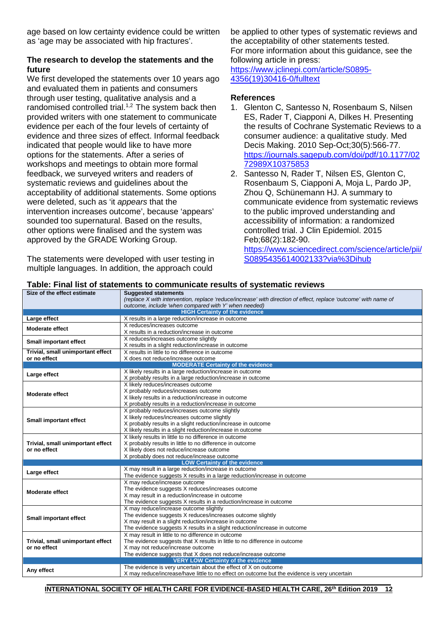age based on low certainty evidence could be written as 'age may be associated with hip fractures'.

#### **The research to develop the statements and the future**

We first developed the statements over 10 years ago and evaluated them in patients and consumers through user testing, qualitative analysis and a randomised controlled trial.<sup>1,2</sup> The system back then provided writers with one statement to communicate evidence per each of the four levels of certainty of evidence and three sizes of effect. Informal feedback indicated that people would like to have more options for the statements. After a series of workshops and meetings to obtain more formal feedback, we surveyed writers and readers of systematic reviews and guidelines about the acceptability of additional statements. Some options were deleted, such as 'it *appears* that the intervention increases outcome', because 'appears' sounded too supernatural. Based on the results, other options were finalised and the system was approved by the GRADE Working Group.

The statements were developed with user testing in multiple languages. In addition, the approach could

be applied to other types of systematic reviews and the acceptability of other statements tested. For more information about this guidance, see the following article in press: [https://www.jclinepi.com/article/S0895-](https://www.jclinepi.com/article/S0895-4356(19)30416-0/fulltext) [4356\(19\)30416-0/fulltext](https://www.jclinepi.com/article/S0895-4356(19)30416-0/fulltext)

#### **References**

- 1. Glenton C, Santesso N, Rosenbaum S, Nilsen ES, Rader T, Ciapponi A, Dilkes H. Presenting the results of Cochrane Systematic Reviews to a consumer audience: a qualitative study. Med Decis Making. 2010 Sep-Oct;30(5):566-77. [https://journals.sagepub.com/doi/pdf/10.1177/02](https://journals.sagepub.com/doi/pdf/10.1177/0272989X10375853) [72989X10375853](https://journals.sagepub.com/doi/pdf/10.1177/0272989X10375853)
- 2. Santesso N, Rader T, Nilsen ES, Glenton C, Rosenbaum S, Ciapponi A, Moja L, Pardo JP, Zhou Q, Schünemann HJ. A summary to communicate evidence from systematic reviews to the public improved understanding and accessibility of information: a randomized controlled trial. J Clin Epidemiol. 2015 Feb;68(2):182-90.

[https://www.sciencedirect.com/science/article/pii/](https://www.sciencedirect.com/science/article/pii/S0895435614002133?via%3Dihub) [S0895435614002133?via%3Dihub](https://www.sciencedirect.com/science/article/pii/S0895435614002133?via%3Dihub)

| Size of the effect estimate                                                          | <b>Suggested statements</b>                                                                                      |
|--------------------------------------------------------------------------------------|------------------------------------------------------------------------------------------------------------------|
|                                                                                      | (replace X with intervention, replace 'reduce/increase' with direction of effect, replace 'outcome' with name of |
|                                                                                      | outcome, include 'when compared with Y' when needed)                                                             |
|                                                                                      | <b>HIGH Certainty of the evidence</b>                                                                            |
| Large effect                                                                         | X results in a large reduction/increase in outcome                                                               |
| <b>Moderate effect</b>                                                               | X reduces/increases outcome                                                                                      |
|                                                                                      | X results in a reduction/increase in outcome                                                                     |
| <b>Small important effect</b>                                                        | X reduces/increases outcome slightly                                                                             |
|                                                                                      | X results in a slight reduction/increase in outcome                                                              |
| X results in little to no difference in outcome<br>Trivial, small unimportant effect |                                                                                                                  |
| or no effect                                                                         | X does not reduce/increase outcome                                                                               |
|                                                                                      | <b>MODERATE Certainty of the evidence</b>                                                                        |
|                                                                                      | X likely results in a large reduction/increase in outcome                                                        |
| Large effect                                                                         | X probably results in a large reduction/increase in outcome                                                      |
|                                                                                      | X likely reduces/increases outcome                                                                               |
|                                                                                      | X probably reduces/increases outcome                                                                             |
| <b>Moderate effect</b>                                                               | X likely results in a reduction/increase in outcome                                                              |
|                                                                                      | X probably results in a reduction/increase in outcome                                                            |
|                                                                                      | X probably reduces/increases outcome slightly                                                                    |
|                                                                                      | X likely reduces/increases outcome slightly                                                                      |
| <b>Small important effect</b>                                                        | X probably results in a slight reduction/increase in outcome                                                     |
|                                                                                      | X likely results in a slight reduction/increase in outcome                                                       |
|                                                                                      | X likely results in little to no difference in outcome                                                           |
| Trivial, small unimportant effect                                                    | X probably results in little to no difference in outcome                                                         |
| or no effect                                                                         | X likely does not reduce/increase outcome                                                                        |
|                                                                                      | X probably does not reduce/increase outcome                                                                      |
|                                                                                      | <b>LOW Certainty of the evidence</b>                                                                             |
|                                                                                      | X may result in a large reduction/increase in outcome                                                            |
| Large effect                                                                         | The evidence suggests X results in a large reduction/increase in outcome                                         |
|                                                                                      | X may reduce/increase outcome                                                                                    |
|                                                                                      | The evidence suggests X reduces/increases outcome                                                                |
| <b>Moderate effect</b>                                                               | X may result in a reduction/increase in outcome                                                                  |
|                                                                                      | The evidence suggests X results in a reduction/increase in outcome                                               |
|                                                                                      | X may reduce/increase outcome slightly                                                                           |
|                                                                                      | The evidence suggests X reduces/increases outcome slightly                                                       |
| <b>Small important effect</b>                                                        | X may result in a slight reduction/increase in outcome                                                           |
|                                                                                      | The evidence suggests X results in a slight reduction/increase in outcome                                        |
|                                                                                      | X may result in little to no difference in outcome                                                               |
| Trivial, small unimportant effect                                                    | The evidence suggests that X results in little to no difference in outcome                                       |
| or no effect                                                                         | X may not reduce/increase outcome                                                                                |
|                                                                                      | The evidence suggests that X does not reduce/increase outcome                                                    |
|                                                                                      | <b>VERY LOW Certainty of the evidence</b>                                                                        |
|                                                                                      | The evidence is very uncertain about the effect of X on outcome                                                  |
| Any effect                                                                           | X may reduce/increase/have little to no effect on outcome but the evidence is very uncertain                     |
|                                                                                      |                                                                                                                  |
|                                                                                      |                                                                                                                  |

#### **Table: Final list of statements to communicate results of systematic reviews**

**INTERNATIONAL SOCIETY OF HEALTH CARE FOR EVIDENCE-BASED HEALTH CARE, 26th Edition 2019 12**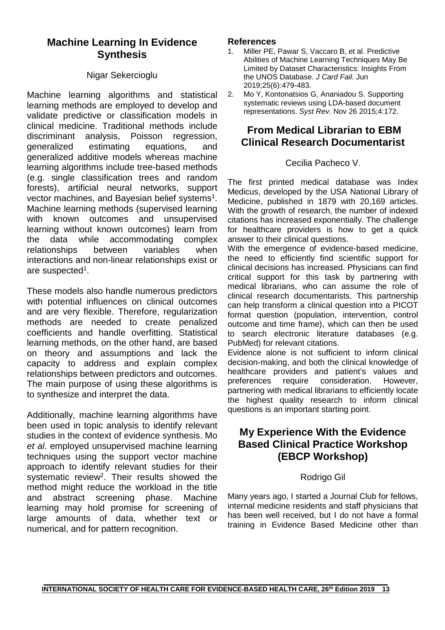# **Machine Learning In Evidence Synthesis**

### Nigar Sekercioglu

Machine learning algorithms and statistical learning methods are employed to develop and validate predictive or classification models in clinical medicine. Traditional methods include discriminant analysis, Poisson regression, generalized estimating equations, and generalized additive models whereas machine learning algorithms include tree-based methods (e.g. single classification trees and random forests), artificial neural networks, support vector machines, and Bayesian belief systems<sup>1</sup>. Machine learning methods (supervised learning with known outcomes and unsupervised learning without known outcomes) learn from the data while accommodating complex relationships between variables when interactions and non-linear relationships exist or are suspecte[d1.](#page-12-0)

These models also handle numerous predictors with potential influences on clinical outcomes and are very flexible. Therefore, regularization methods are needed to create penalized coefficients and handle overfitting. Statistical learning methods, on the other hand, are based on theory and assumptions and lack the capacity to address and explain complex relationships between predictors and outcomes. The main purpose of using these algorithms is to synthesize and interpret the data.

Additionally, machine learning algorithms have been used in topic analysis to identify relevant studies in the context of evidence synthesis. Mo *et al*. employed unsupervised machine learning techniques using the support vector machine approach to identify relevant studies for their systematic review<sup>2</sup>. Their results showed the method might reduce the workload in the title and abstract screening phase. Machine learning may hold promise for screening of large amounts of data, whether text or numerical, and for pattern recognition.

# **References**<br>1 Miller PF

- <span id="page-12-0"></span>Miller PE, Pawar S, Vaccaro B, et al. Predictive Abilities of Machine Learning Techniques May Be Limited by Dataset Characteristics: Insights From the UNOS Database. *J Card Fail.* Jun 2019;25(6):479-483.
- <span id="page-12-1"></span>2. Mo Y, Kontonatsios G, Ananiadou S. Supporting systematic reviews using LDA-based document representations. *Syst Rev.* Nov 26 2015;4:172.

# **From Medical Librarian to EBM Clinical Research Documentarist**

### Cecilia Pacheco V.

The first printed medical database was Index Medicus, developed by the USA National Library of Medicine, published in 1879 with 20,169 articles. With the growth of research, the number of indexed citations has increased exponentially. The challenge for healthcare providers is how to get a quick answer to their clinical questions.

With the emergence of evidence-based medicine, the need to efficiently find scientific support for clinical decisions has increased. Physicians can find critical support for this task by partnering with medical librarians, who can assume the role of clinical research documentarists. This partnership can help transform a clinical question into a PICOT format question (population, intervention, control outcome and time frame), which can then be used to search electronic literature databases (e.g. PubMed) for relevant citations.

Evidence alone is not sufficient to inform clinical decision-making, and both the clinical knowledge of healthcare providers and patient's values and<br>preferences require consideration. However, preferences require consideration. However, partnering with medical librarians to efficiently locate the highest quality research to inform clinical questions is an important starting point.

# **My Experience With the Evidence Based Clinical Practice Workshop (EBCP Workshop)**

### Rodrigo Gil

Many years ago, I started a Journal Club for fellows, internal medicine residents and staff physicians that has been well received, but I do not have a formal training in Evidence Based Medicine other than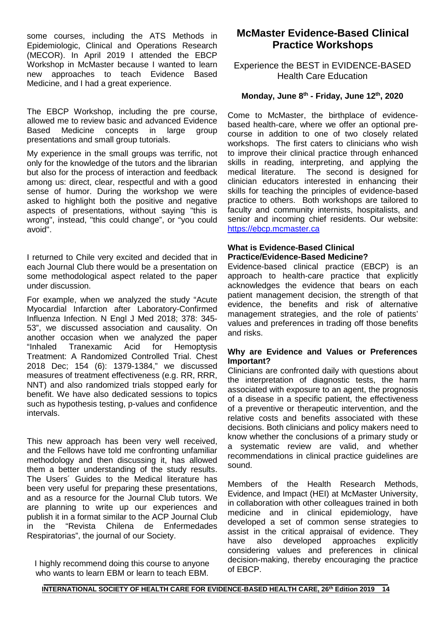some courses, including the ATS Methods in Epidemiologic, Clinical and Operations Research (MECOR). In April 2019 I attended the EBCP Workshop in McMaster because I wanted to learn new approaches to teach Evidence Based Medicine, and I had a great experience.

The EBCP Workshop, including the pre course, allowed me to review basic and advanced Evidence<br>Based Medicine concepts in large group Medicine concepts in large group presentations and small group tutorials.

My experience in the small groups was terrific, not only for the knowledge of the tutors and the librarian but also for the process of interaction and feedback among us: direct, clear, respectful and with a good sense of humor. During the workshop we were asked to highlight both the positive and negative aspects of presentations, without saying "this is wrong", instead, "this could change", or "you could avoid".

I returned to Chile very excited and decided that in each Journal Club there would be a presentation on some methodological aspect related to the paper under discussion.

For example, when we analyzed the study "Acute Myocardial Infarction after Laboratory-Confirmed Influenza Infection. N Engl J Med 2018; 378: 345- 53", we discussed association and causality. On another occasion when we analyzed the paper "Inhaled Tranexamic Acid for Hemoptysis Treatment: A Randomized Controlled Trial. Chest 2018 Dec; 154 (6): 1379-1384," we discussed measures of treatment effectiveness (e.g. RR, RRR, NNT) and also randomized trials stopped early for benefit. We have also dedicated sessions to topics such as hypothesis testing, p-values and confidence intervals.

This new approach has been very well received, and the Fellows have told me confronting unfamiliar methodology and then discussing it, has allowed them a better understanding of the study results. The Users´ Guides to the Medical literature has been very useful for preparing these presentations, and as a resource for the Journal Club tutors. We are planning to write up our experiences and publish it in a format similar to the ACP Journal Club in the "Revista Chilena de Enfermedades Respiratorias", the journal of our Society.

I highly recommend doing this course to anyone who wants to learn EBM or learn to teach EBM.

# **McMaster Evidence-Based Clinical Practice Workshops**

### Experience the BEST in EVIDENCE-BASED Health Care Education

### **Monday, June 8th - Friday, June 12th, 2020**

Come to McMaster, the birthplace of evidencebased health-care, where we offer an optional precourse in addition to one of two closely related workshops. The first caters to clinicians who wish to improve their clinical practice through enhanced skills in reading, interpreting, and applying the medical literature. The second is designed for The second is designed for clinician educators interested in enhancing their skills for teaching the principles of evidence-based practice to others. Both workshops are tailored to faculty and community internists, hospitalists, and senior and incoming chief residents. Our website: [https://ebcp.mcmaster.ca](https://ebcp.mcmaster.ca/)

#### **What is Evidence-Based Clinical Practice/Evidence-Based Medicine?**

Evidence-based clinical practice (EBCP) is an approach to health-care practice that explicitly acknowledges the evidence that bears on each patient management decision, the strength of that evidence, the benefits and risk of alternative management strategies, and the role of patients' values and preferences in trading off those benefits and risks.

#### **Why are Evidence and Values or Preferences Important?**

Clinicians are confronted daily with questions about the interpretation of diagnostic tests, the harm associated with exposure to an agent, the prognosis of a disease in a specific patient, the effectiveness of a preventive or therapeutic intervention, and the relative costs and benefits associated with these decisions. Both clinicians and policy makers need to know whether the conclusions of a primary study or a systematic review are valid, and whether recommendations in clinical practice guidelines are sound.

Members of the Health Research Methods, Evidence, and Impact (HEI) at McMaster University, in collaboration with other colleagues trained in both medicine and in clinical epidemiology, have developed a set of common sense strategies to assist in the critical appraisal of evidence. They have also developed approaches explicitly considering values and preferences in clinical decision-making, thereby encouraging the practice of EBCP.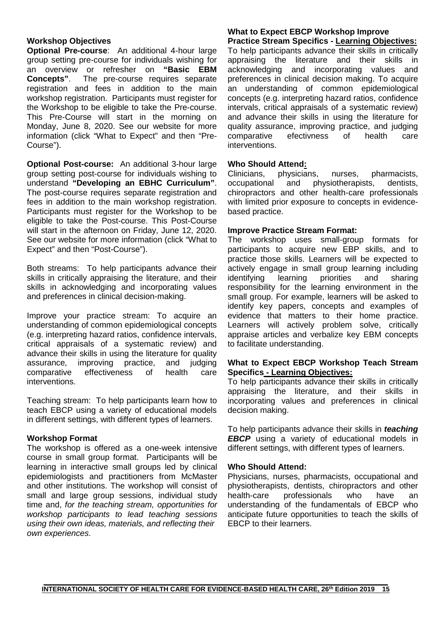#### **Workshop Objectives**

**Optional Pre-course**: An additional 4-hour large group setting pre-course for individuals wishing for an overview or refresher on **"Basic EBM Concepts"**. The pre-course requires separate registration and fees in addition to the main workshop registration. Participants must register for the Workshop to be eligible to take the Pre-course. This Pre-Course will start in the morning on Monday, June 8, 2020. See our website for more information (click "What to Expect" and then "Pre-Course").

**Optional Post-course:** An additional 3-hour large group setting post-course for individuals wishing to understand **"Developing an EBHC Curriculum"**. The post-course requires separate registration and fees in addition to the main workshop registration. Participants must register for the Workshop to be eligible to take the Post-course. This Post-Course will start in the afternoon on Friday, June 12, 2020. See our website for more information (click "What to Expect" and then "Post-Course").

Both streams: To help participants advance their skills in critically appraising the literature, and their skills in acknowledging and incorporating values and preferences in clinical decision-making.

Improve your practice stream: To acquire an understanding of common epidemiological concepts (e.g. interpreting hazard ratios, confidence intervals, critical appraisals of a systematic review) and advance their skills in using the literature for quality assurance, improving practice, and judging<br>comparative effectiveness of health care comparative effectiveness of health care interventions.

Teaching stream: To help participants learn how to teach EBCP using a variety of educational models in different settings, with different types of learners.

#### **Workshop Format**

The workshop is offered as a one-week intensive course in small group format. Participants will be learning in interactive small groups led by clinical epidemiologists and practitioners from McMaster and other institutions. The workshop will consist of small and large group sessions, individual study time and, *for the teaching stream, opportunities for workshop participants to lead teaching sessions using their own ideas, materials, and reflecting their own experiences*.

#### **What to Expect EBCP Workshop Improve Practice Stream Specifics - Learning Objectives:**

To help participants advance their skills in critically appraising the literature and their skills in acknowledging and incorporating values and preferences in clinical decision making. To acquire an understanding of common epidemiological concepts (e.g. interpreting hazard ratios, confidence intervals, critical appraisals of a systematic review) and advance their skills in using the literature for quality assurance, improving practice, and judging<br>comparative efectivness of health care comparative efectivness of health care interventions.

#### **Who Should Attend:**

Clinicians, physicians, nurses, pharmacists,<br>occupational and physiotherapists, dentists, occupational and chiropractors and other health-care professionals with limited prior exposure to concepts in evidencebased practice.

#### **Improve Practice Stream Format:**

The workshop uses small-group formats for participants to acquire new EBP skills, and to practice those skills. Learners will be expected to actively engage in small group learning including identifying learning priorities and sharing responsibility for the learning environment in the small group. For example, learners will be asked to identify key papers, concepts and examples of evidence that matters to their home practice. Learners will actively problem solve, critically appraise articles and verbalize key EBM concepts to facilitate understanding.

#### **What to Expect EBCP Workshop Teach Stream Specifics - Learning Objectives:**

To help participants advance their skills in critically appraising the literature, and their skills in incorporating values and preferences in clinical decision making.

To help participants advance their skills in *teaching*  **EBCP** using a variety of educational models in different settings, with different types of learners.

#### **Who Should Attend:**

Physicians, nurses, pharmacists, occupational and physiotherapists, dentists, chiropractors and other health-care professionals who have an understanding of the fundamentals of EBCP who anticipate future opportunities to teach the skills of EBCP to their learners.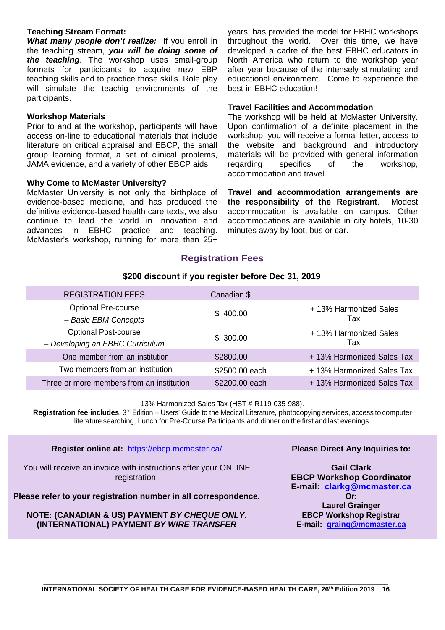#### **Teaching Stream Format:**

*What many people don't realize:* If you enroll in the teaching stream, *you will be doing some of the teaching*. The workshop uses small-group formats for participants to acquire new EBP teaching skills and to practice those skills. Role play will simulate the teachig environments of the participants.

#### **Workshop Materials**

Prior to and at the workshop, participants will have access on-line to educational materials that include literature on critical appraisal and EBCP, the small group learning format, a set of clinical problems, JAMA evidence, and a variety of other EBCP aids.

#### **Why Come to McMaster University?**

McMaster University is not only the birthplace of evidence-based medicine, and has produced the definitive evidence-based health care texts, we also continue to lead the world in innovation and advances in EBHC practice and teaching. McMaster's workshop, running for more than 25+

years, has provided the model for EBHC workshops throughout the world. Over this time, we have developed a cadre of the best EBHC educators in North America who return to the workshop year after year because of the intensely stimulating and educational environment. Come to experience the best in EBHC education!

#### **Travel Facilities and Accommodation**

The workshop will be held at McMaster University. Upon confirmation of a definite placement in the workshop, you will receive a formal letter, access to the website and background and introductory materials will be provided with general information<br>regarding specifics of the workshop, regarding specifics of the workshop, accommodation and travel.

**Travel and accommodation arrangements are the responsibility of the Registrant**. Modest accommodation is available on campus. Other accommodations are available in city hotels, 10-30 minutes away by foot, bus or car.

### **Registration Fees**

#### **\$200 discount if you register before Dec 31, 2019**

| <b>REGISTRATION FEES</b>                                       | Canadian \$    |                              |
|----------------------------------------------------------------|----------------|------------------------------|
| <b>Optional Pre-course</b><br>- Basic EBM Concepts             | \$400.00       | +13% Harmonized Sales<br>Tax |
| <b>Optional Post-course</b><br>- Developing an EBHC Curriculum | \$300.00       | +13% Harmonized Sales<br>Tax |
| One member from an institution                                 | \$2800.00      | +13% Harmonized Sales Tax    |
| Two members from an institution                                | \$2500.00 each | +13% Harmonized Sales Tax    |
| Three or more members from an institution                      | \$2200.00 each | +13% Harmonized Sales Tax    |

13% Harmonized Sales Tax (HST # R119-035-988).

**Registration fee includes**, 3rd Edition – Users' Guide to the Medical Literature, photocopying services, access to computer literature searching, Lunch for Pre-Course Participants and dinner on the first and last evenings.

**Register online at:** <https://ebcp.mcmaster.ca/>

You will receive an invoice with instructions after your ONLINE registration.

**Please refer to your registration number in all correspondence.**

**NOTE: (CANADIAN & US) PAYMENT** *BY CHEQUE ONLY***. (INTERNATIONAL) PAYMENT** *BY WIRE TRANSFER*

#### **Please Direct Any Inquiries to:**

**Gail Clark EBCP Workshop Coordinator E-mail: [clarkg@mcmaster.ca](mailto:clarkg@mcmaster.ca) Or: Laurel Grainger EBCP Workshop Registrar E-mail: [graing@mcmaster.ca](mailto:graing@mcmaster.ca)**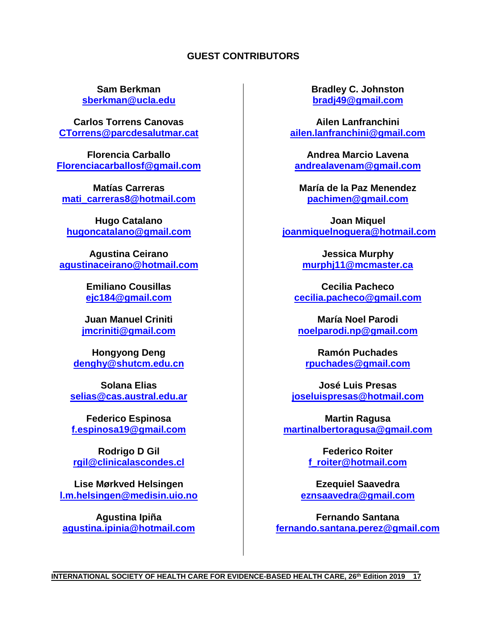### **GUEST CONTRIBUTORS**

**Sam Berkman sberkman@ucla.edu**

**Carlos Torrens Canovas [CTorrens@parcdesalutmar.cat](mailto:CTorrens@parcdesalutmar.cat)**

**Florencia Carballo [Florenciacarballosf@gmail.com](mailto:Florenciacarballosf@gmail.com)**

**Matías Carreras [mati\\_carreras8@hotmail.com](mailto:mati_carreras8@hotmail.com)**

**Hugo Catalano [hugoncatalano@gmail.com](mailto:hugoncatalano@gmail.com)**

**Agustina Ceirano [agustinaceirano@hotmail.com](mailto:agustinaceirano@hotmail.com)**

> **Emiliano Cousillas [ejc184@gmail.com](mailto:ejc184@gmail.com)**

**Juan Manuel Criniti [jmcriniti@gmail.com](mailto:jmcriniti@gmail.com)**

**Hongyong Deng [denghy@shutcm.edu.cn](mailto:denghy@shutcm.edu.cn)**

**Solana Elias [selias@cas.austral.edu.ar](mailto:selias@cas.austral.edu.ar)**

**Federico Espinosa [f.espinosa19@gmail.com](mailto:f.espinosa19@gmail.com)**

**Rodrigo D Gil [rgil@clinicalascondes.cl](mailto:rgil@clinicalascondes.cl)**

**Lise Mørkved Helsingen [l.m.helsingen@medisin.uio.no](mailto:l.m.helsingen@medisin.uio.no)**

**Agustina Ipiña [agustina.ipinia@hotmail.com](mailto:agustina.ipinia@hotmail.com)** **Bradley C. Johnston [bradj49@gmail.com](mailto:bradj49@gmail.com)**

**Ailen Lanfranchini [ailen.lanfranchini@gmail.com](mailto:ailen.lanfranchini@gmail.com)**

**Andrea Marcio Lavena [andrealavenam@gmail.com](mailto:andrealavenam@gmail.com)**

**María de la Paz Menendez [pachimen@gmail.com](mailto:pachimen@gmail.com)**

**Joan Miquel [joanmiquelnoguera@hotmail.com](mailto:joanmiquelnoguera@hotmail.com)**

> **Jessica Murphy murphj11@mcmaster.ca**

**Cecilia Pacheco [cecilia.pacheco@gmail.com](mailto:cecilia.pacheco@gmail.com)**

**María Noel Parodi [noelparodi.np@gmail.com](mailto:noelparodi.np@gmail.com)**

**Ramón Puchades [rpuchades@gmail.com](mailto:rpuchades@gmail.com)**

**José Luis Presas [joseluispresas@hotmail.com](mailto:joseluispresas@hotmail.com)**

**Martin Ragusa [martinalbertoragusa@gmail.com](mailto:martinalbertoragusa@gmail.com)**

> **Federico Roiter [f\\_roiter@hotmail.com](mailto:f_roiter@hotmail.com)**

**Ezequiel Saavedra [eznsaavedra@gmail.com](mailto:eznsaavedra@gmail.com)**

**Fernando Santana [fernando.santana.perez@gmail.com](mailto:fernando.santana.perez@gmail.com)**

**\_\_\_\_\_\_\_\_\_\_\_\_\_\_\_\_\_\_\_\_\_\_\_\_\_\_\_\_\_\_\_\_\_\_\_\_\_\_\_\_\_\_\_\_\_\_\_\_\_\_\_\_\_\_\_\_\_\_\_\_\_\_\_\_\_\_\_\_\_\_\_\_\_\_\_\_\_\_\_\_\_\_\_\_\_\_\_\_\_\_\_\_ INTERNATIONAL SOCIETY OF HEALTH CARE FOR EVIDENCE-BASED HEALTH CARE, 26th Edition 2019 17**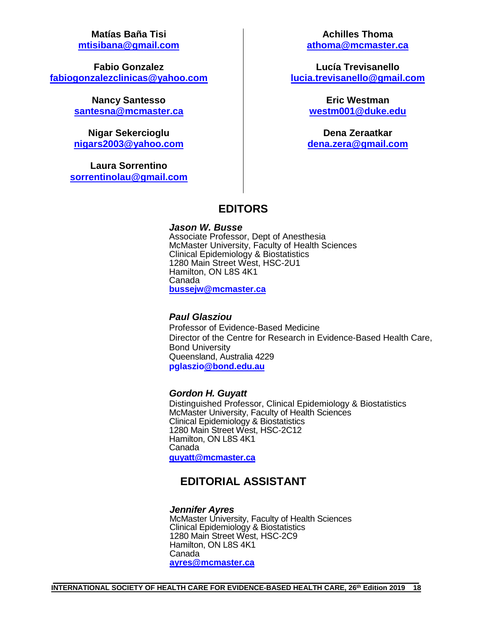**Matías Baña Tisi [mtisibana@gmail.com](mailto:mtisibana@gmail.com)**

**Fabio Gonzalez [fabiogonzalezclinicas@yahoo.com](mailto:fabiogonzalezclinicas@yahoo.com)**

> **Nancy Santesso [santesna@mcmaster.ca](mailto:santesna@mcmaster.ca)**

> **Nigar Sekercioglu [nigars2003@yahoo.com](mailto:nigars2003@yahoo.com)**

**Laura Sorrentino [sorrentinolau@gmail.com](mailto:sorrentinolau@gmail.com)**

**Achilles Thoma athoma@mcmaster.ca**

**Lucía Trevisanello [lucia.trevisanello@gmail.com](mailto:lucia.trevisanello@gmail.com)**

> **Eric Westman [westm001@duke.edu](mailto:westm001@duke.edu)**

**Dena Zeraatkar [dena.zera@gmail.com](mailto:dena.zera@gmail.com)**

## **EDITORS**

*Jason W. Busse* Associate Professor, Dept of Anesthesia McMaster University, Faculty of Health Sciences Clinical Epidemiology & Biostatistics 1280 Main Street West, HSC-2U1 Hamilton, ON L8S 4K1 Canada **[bussejw@mcmaster.ca](mailto:bussejw@mcmaster.ca)**

### *Paul Glasziou*

Professor of Evidence-Based Medicine Director of the Centre for Research in Evidence-Based Health Care, Bond University Queensland, Australia 4229 **pglaszi[o@bond.edu.au](mailto:Paul_Glasziou@bond.edu.au)**

#### *Gordon H. Guyatt*

Distinguished Professor, Clinical Epidemiology & Biostatistics McMaster University, Faculty of Health Sciences Clinical Epidemiology & Biostatistics 1280 Main Street West, HSC-2C12 Hamilton, ON L8S 4K1 Canada **[guyatt@mcmaster.ca](mailto:guyatt@mcmaster.ca)**

# **EDITORIAL ASSISTANT**

#### *Jennifer Ayres*

McMaster University, Faculty of Health Sciences Clinical Epidemiology & Biostatistics 1280 Main Street West, HSC-2C9 Hamilton, ON L8S 4K1 Canada **[ayres@mcmaster.ca](mailto:ayres@mcmaster.ca)**